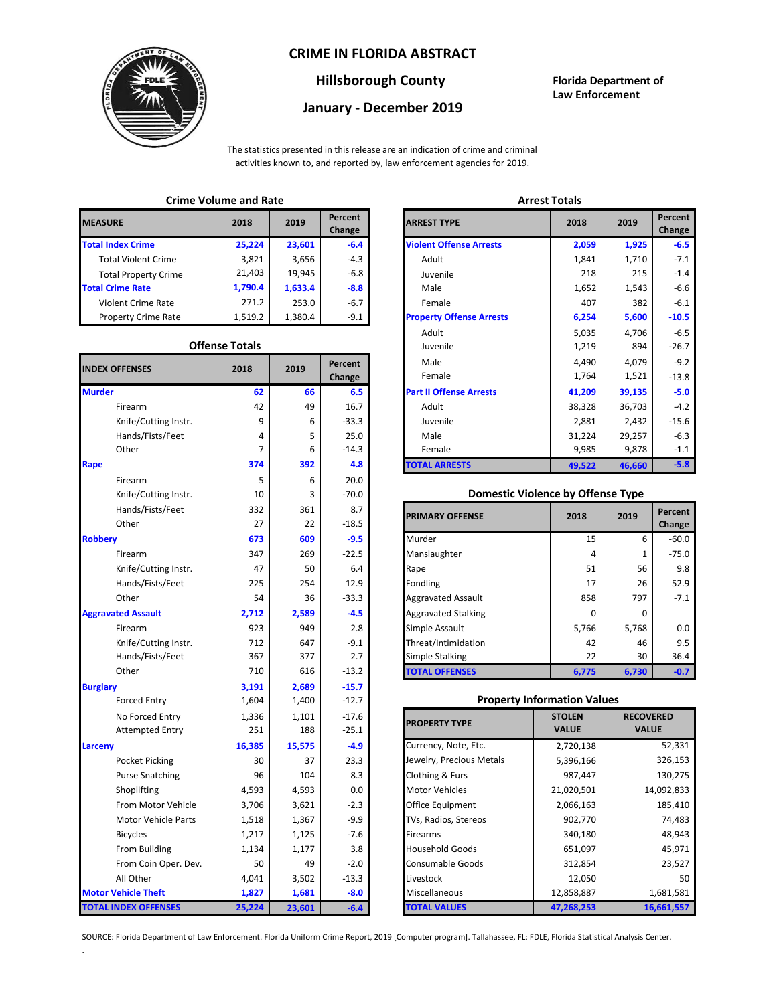### **CRIME IN FLORIDA ABSTRACT**



## **Hillsborough County Florida Department of**

# **January - December 2019**

**Law Enforcement**

The statistics presented in this release are an indication of crime and criminal activities known to, and reported by, law enforcement agencies for 2019.

## **Crime Volume and Rate Arrest Totals**

| <b>MEASURE</b>              | 2018    | 2019    | Percent<br>Change | <b>ARREST TYPE</b>             |
|-----------------------------|---------|---------|-------------------|--------------------------------|
| <b>Total Index Crime</b>    | 25,224  | 23,601  | $-6.4$            | <b>Violent Offense Arrests</b> |
| <b>Total Violent Crime</b>  | 3,821   | 3,656   | $-4.3$            | Adult                          |
| <b>Total Property Crime</b> | 21,403  | 19.945  | $-6.8$            | Juvenile                       |
| <b>Total Crime Rate</b>     | 1,790.4 | 1,633.4 | $-8.8$            | Male                           |
| Violent Crime Rate          | 271.2   | 253.0   | $-6.7$            | Female                         |
| <b>Property Crime Rate</b>  | 1,519.2 | 1.380.4 | $-9.1$            | <b>Property Offense Arrest</b> |

#### **Offense Totals**

| <b>INDEX OFFENSES</b>       | 2018   | 2019   | Percent<br>Change | Male<br>Female                           | 4,490<br>1,764 | 4,079<br>1,521   | $-9.2$<br>$-13.8$ |
|-----------------------------|--------|--------|-------------------|------------------------------------------|----------------|------------------|-------------------|
| <b>Murder</b>               | 62     | 66     | 6.5               | <b>Part II Offense Arrests</b>           | 41,209         | 39,135           | $-5.0$            |
| Firearm                     | 42     | 49     | 16.7              | Adult                                    | 38,328         | 36,703           | $-4.2$            |
| Knife/Cutting Instr.        | 9      | 6      | $-33.3$           | Juvenile                                 | 2,881          | 2,432            | $-15.6$           |
| Hands/Fists/Feet            | 4      | 5      | 25.0              | Male                                     | 31,224         | 29,257           | $-6.3$            |
| Other                       | 7      | 6      | $-14.3$           | Female                                   | 9,985          | 9,878            | $-1.1$            |
| Rape                        | 374    | 392    | 4.8               | <b>TOTAL ARRESTS</b>                     | 49,522         | 46,660           | $-5.8$            |
| Firearm                     | 5      | 6      | 20.0              |                                          |                |                  |                   |
| Knife/Cutting Instr.        | 10     | 3      | $-70.0$           | <b>Domestic Violence by Offense Type</b> |                |                  |                   |
| Hands/Fists/Feet            | 332    | 361    | 8.7               |                                          | 2018           | 2019             | Percent           |
| Other                       | 27     | 22     | $-18.5$           | <b>PRIMARY OFFENSE</b>                   |                |                  | Change            |
| <b>Robbery</b>              | 673    | 609    | $-9.5$            | Murder                                   | 15             | 6                | -60.0             |
| Firearm                     | 347    | 269    | $-22.5$           | Manslaughter                             | 4              | 1                | $-75.0$           |
| Knife/Cutting Instr.        | 47     | 50     | 6.4               | Rape                                     | 51             | 56               | 9.8               |
| Hands/Fists/Feet            | 225    | 254    | 12.9              | Fondling                                 | 17             | 26               | 52.9              |
| Other                       | 54     | 36     | $-33.3$           | <b>Aggravated Assault</b>                | 858            | 797              | $-7.1$            |
| <b>Aggravated Assault</b>   | 2,712  | 2,589  | $-4.5$            | <b>Aggravated Stalking</b>               | 0              | 0                |                   |
| Firearm                     | 923    | 949    | 2.8               | Simple Assault                           | 5,766          | 5,768            | 0.0               |
| Knife/Cutting Instr.        | 712    | 647    | $-9.1$            | Threat/Intimidation                      | 42             | 46               | 9.5               |
| Hands/Fists/Feet            | 367    | 377    | 2.7               | Simple Stalking                          | 22             | 30               | 36.4              |
| Other                       | 710    | 616    | $-13.2$           | <b>TOTAL OFFENSES</b>                    | 6,775          | 6,730            | $-0.7$            |
| <b>Burglary</b>             | 3,191  | 2,689  | $-15.7$           |                                          |                |                  |                   |
| <b>Forced Entry</b>         | 1,604  | 1,400  | $-12.7$           | <b>Property Information Values</b>       |                |                  |                   |
| No Forced Entry             | 1,336  | 1,101  | $-17.6$           | <b>PROPERTY TYPE</b>                     | <b>STOLEN</b>  | <b>RECOVERED</b> |                   |
| <b>Attempted Entry</b>      | 251    | 188    | $-25.1$           |                                          | <b>VALUE</b>   | <b>VALUE</b>     |                   |
| Larceny                     | 16,385 | 15,575 | $-4.9$            | Currency, Note, Etc.                     | 2,720,138      |                  | 52,331            |
| Pocket Picking              | 30     | 37     | 23.3              | Jewelry, Precious Metals                 | 5,396,166      |                  | 326,153           |
| <b>Purse Snatching</b>      | 96     | 104    | 8.3               | Clothing & Furs                          | 987,447        |                  | 130,275           |
| Shoplifting                 | 4,593  | 4,593  | 0.0               | <b>Motor Vehicles</b>                    | 21,020,501     |                  | 14,092,833        |
| From Motor Vehicle          | 3,706  | 3,621  | $-2.3$            | Office Equipment                         | 2,066,163      |                  | 185,410           |
| Motor Vehicle Parts         | 1,518  | 1,367  | $-9.9$            | TVs, Radios, Stereos                     | 902,770        |                  | 74,483            |
| <b>Bicycles</b>             | 1,217  | 1,125  | $-7.6$            | Firearms                                 | 340,180        |                  | 48,943            |
| From Building               | 1,134  | 1,177  | 3.8               | <b>Household Goods</b>                   | 651,097        |                  | 45,971            |
| From Coin Oper. Dev.        | 50     | 49     | $-2.0$            | Consumable Goods                         | 312,854        |                  | 23,527            |
| All Other                   | 4,041  | 3,502  | $-13.3$           | Livestock                                | 12,050         |                  | 50                |
| <b>Motor Vehicle Theft</b>  | 1,827  | 1,681  | $-8.0$            | Miscellaneous                            | 12,858,887     |                  | 1,681,581         |
| <b>TOTAL INDEX OFFENSES</b> | 25,224 | 23,601 | $-6.4$            | <b>TOTAL VALUES</b>                      | 47,268,253     |                  | 16,661,557        |

.

| CHILLE VULUILE ANU RALE |                       |         |                   | лнсэг готагэ                    |        |        |                   |
|-------------------------|-----------------------|---------|-------------------|---------------------------------|--------|--------|-------------------|
| RΕ                      | 2018                  | 2019    | Percent<br>Change | <b>ARREST TYPE</b>              | 2018   | 2019   | Percent<br>Change |
| dex Crime               | 25,224                | 23,601  | $-6.4$            | <b>Violent Offense Arrests</b>  | 2,059  | 1,925  | $-6.5$            |
| Il Violent Crime        | 3,821                 | 3,656   | $-4.3$            | Adult                           | 1,841  | 1,710  | $-7.1$            |
| Il Property Crime       | 21,403                | 19,945  | $-6.8$            | Juvenile                        | 218    | 215    | $-1.4$            |
| me Rate                 | 1,790.4               | 1,633.4 | $-8.8$            | Male                            | 1,652  | 1,543  | $-6.6$            |
| ent Crime Rate          | 271.2                 | 253.0   | $-6.7$            | Female                          | 407    | 382    | $-6.1$            |
| erty Crime Rate         | 1,519.2               | 1,380.4 | $-9.1$            | <b>Property Offense Arrests</b> | 6,254  | 5,600  | $-10.5$           |
|                         |                       |         |                   | Adult                           | 5,035  | 4,706  | $-6.5$            |
|                         | <b>Offense Totals</b> |         |                   | Juvenile                        | 1,219  | 894    | $-26.7$           |
| <b>FFENSES</b>          | 2018                  | 2019    | Percent           | Male                            | 4,490  | 4,079  | $-9.2$            |
|                         |                       |         | Change            | Female                          | 1,764  | 1,521  | $-13.8$           |
|                         | 62                    | 66      | 6.5               | <b>Part II Offense Arrests</b>  | 41,209 | 39,135 | $-5.0$            |
| Firearm                 | 42                    | 49      | 16.7              | Adult                           | 38,328 | 36,703 | $-4.2$            |
| Knife/Cutting Instr.    | 9                     | 6       | $-33.3$           | Juvenile                        | 2,881  | 2,432  | $-15.6$           |
| Hands/Fists/Feet        | 4                     | 5       | 25.0              | Male                            | 31,224 | 29,257 | $-6.3$            |
| Other                   | 7                     | 6       | $-14.3$           | Female                          | 9,985  | 9,878  | $-1.1$            |
|                         | 374                   | 392     | 4.8               | <b>TOTAL ARRESTS</b>            | 49,522 | 46,660 | $-5.8$            |
|                         |                       |         |                   |                                 |        |        |                   |

#### 10 **Domestic Violence by Offense Type**

| Hands/Fists/Feet<br>Other | 332<br>27 | 361<br>22 | 8.7<br>$-18.5$ | <b>PRIMARY OFFENSE</b>     | 2018  | 2019  | Percent<br>Change |
|---------------------------|-----------|-----------|----------------|----------------------------|-------|-------|-------------------|
|                           | 673       | 609       | $-9.5$         | Murder                     | 15    | 6     | $-60.0$           |
| Firearm                   | 347       | 269       | $-22.5$        | Manslaughter               | 4     | 1     | $-75.0$           |
| Knife/Cutting Instr.      | 47        | 50        | 6.4            | Rape                       | 51    | 56    | 9.8               |
| Hands/Fists/Feet          | 225       | 254       | 12.9           | Fondling                   | 17    | 26    | 52.9              |
| Other                     | 54        | 36        | $-33.3$        | <b>Aggravated Assault</b>  | 858   | 797   | $-7.1$            |
| ted Assault               | 2,712     | 2,589     | $-4.5$         | <b>Aggravated Stalking</b> | 0     | 0     |                   |
| Firearm                   | 923       | 949       | 2.8            | Simple Assault             | 5,766 | 5,768 | 0.0               |
| Knife/Cutting Instr.      | 712       | 647       | $-9.1$         | Threat/Intimidation        | 42    | 46    | 9.5               |
| Hands/Fists/Feet          | 367       | 377       | 2.7            | <b>Simple Stalking</b>     | 22    | 30    | 36.4              |
| Other                     | 710       | 616       | $-13.2$        | <b>TOTAL OFFENSES</b>      | 6,775 | 6,730 | $-0.7$            |

#### **Property Information Values**

| 1,336  | 1,101  | $-17.6$ | <b>PROPERTY TYPE</b>     | <b>STOLEN</b> | <b>RECOVERED</b> |
|--------|--------|---------|--------------------------|---------------|------------------|
| 251    | 188    | $-25.1$ |                          | <b>VALUE</b>  | <b>VALUE</b>     |
| 16,385 | 15,575 | $-4.9$  | Currency, Note, Etc.     | 2,720,138     | 52,331           |
| 30     | 37     | 23.3    | Jewelry, Precious Metals | 5,396,166     | 326,153          |
| 96     | 104    | 8.3     | Clothing & Furs          | 987,447       | 130,275          |
| 4,593  | 4,593  | 0.0     | <b>Motor Vehicles</b>    | 21,020,501    | 14,092,833       |
| 3,706  | 3,621  | $-2.3$  | Office Equipment         | 2,066,163     | 185,410          |
| 1,518  | 1,367  | $-9.9$  | TVs, Radios, Stereos     | 902,770       | 74,483           |
| 1,217  | 1,125  | $-7.6$  | <b>Firearms</b>          | 340,180       | 48,943           |
| 1,134  | 1,177  | 3.8     | <b>Household Goods</b>   | 651,097       | 45,971           |
| 50     | 49     | $-2.0$  | <b>Consumable Goods</b>  | 312,854       | 23,527           |
| 4,041  | 3,502  | $-13.3$ | Livestock                | 12,050        | 50               |
| 1,827  | 1,681  | $-8.0$  | Miscellaneous            | 12,858,887    | 1,681,581        |
| 25,224 | 23,601 | $-6.4$  | <b>TOTAL VALUES</b>      | 47,268,253    | 16,661,557       |

SOURCE: Florida Department of Law Enforcement. Florida Uniform Crime Report, 2019 [Computer program]. Tallahassee, FL: FDLE, Florida Statistical Analysis Center.